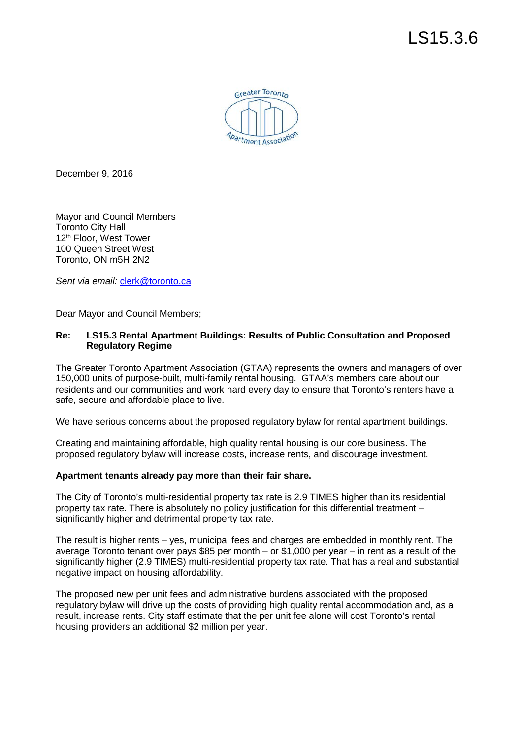

December 9, 2016

 Mayor and Council Members Toronto City Hall 12<sup>th</sup> Floor, West Tower 100 Queen Street West Toronto, ON m5H 2N2

Sent via email: *clerk@toronto.ca* 

Dear Mayor and Council Members;

## **Re: Regulatory Regime LS15.3 Rental Apartment Buildings: Results of Public Consultation and Proposed**

 The Greater Toronto Apartment Association (GTAA) represents the owners and managers of over 150,000 units of purpose-built, multi-family rental housing. GTAA's members care about our residents and our communities and work hard every day to ensure that Toronto's renters have a safe, secure and affordable place to live.

We have serious concerns about the proposed regulatory bylaw for rental apartment buildings.

 Creating and maintaining affordable, high quality rental housing is our core business. The proposed regulatory bylaw will increase costs, increase rents, and discourage investment.

## **Apartment tenants already pay more than their fair share.**

 The City of Toronto's multi-residential property tax rate is 2.9 TIMES higher than its residential property tax rate. There is absolutely no policy justification for this differential treatment – significantly higher and detrimental property tax rate.

 The result is higher rents – yes, municipal fees and charges are embedded in monthly rent. The average Toronto tenant over pays \$85 per month – or \$1,000 per year – in rent as a result of the significantly higher (2.9 TIMES) multi-residential property tax rate. That has a real and substantial negative impact on housing affordability.

 The proposed new per unit fees and administrative burdens associated with the proposed regulatory bylaw will drive up the costs of providing high quality rental accommodation and, as a result, increase rents. City staff estimate that the per unit fee alone will cost Toronto's rental housing providers an additional \$2 million per year.